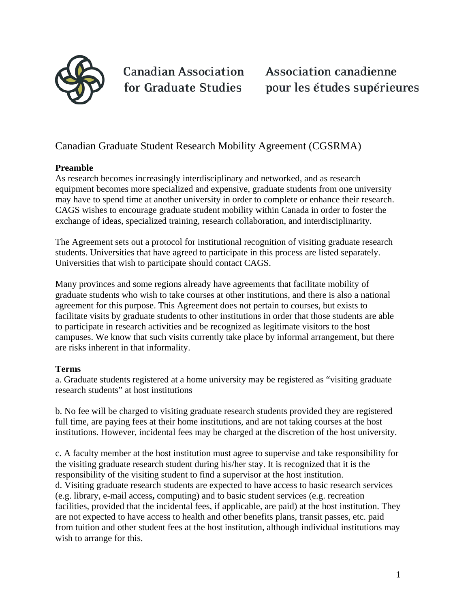

**Canadian Association** for Graduate Studies

**Association canadienne** pour les études supérieures

## Canadian Graduate Student Research Mobility Agreement (CGSRMA)

#### **Preamble**

As research becomes increasingly interdisciplinary and networked, and as research equipment becomes more specialized and expensive, graduate students from one university may have to spend time at another university in order to complete or enhance their research. CAGS wishes to encourage graduate student mobility within Canada in order to foster the exchange of ideas, specialized training, research collaboration, and interdisciplinarity.

The Agreement sets out a protocol for institutional recognition of visiting graduate research students. Universities that have agreed to participate in this process are listed separately. Universities that wish to participate should contact CAGS.

Many provinces and some regions already have agreements that facilitate mobility of graduate students who wish to take courses at other institutions, and there is also a national agreement for this purpose. This Agreement does not pertain to courses, but exists to facilitate visits by graduate students to other institutions in order that those students are able to participate in research activities and be recognized as legitimate visitors to the host campuses. We know that such visits currently take place by informal arrangement, but there are risks inherent in that informality.

#### **Terms**

a. Graduate students registered at a home university may be registered as "visiting graduate research students" at host institutions

b. No fee will be charged to visiting graduate research students provided they are registered full time, are paying fees at their home institutions, and are not taking courses at the host institutions. However, incidental fees may be charged at the discretion of the host university.

c. A faculty member at the host institution must agree to supervise and take responsibility for the visiting graduate research student during his/her stay. It is recognized that it is the responsibility of the visiting student to find a supervisor at the host institution. d. Visiting graduate research students are expected to have access to basic research services (e.g. library, e-mail access**,** computing) and to basic student services (e.g. recreation facilities, provided that the incidental fees, if applicable, are paid) at the host institution. They are not expected to have access to health and other benefits plans, transit passes, etc. paid from tuition and other student fees at the host institution, although individual institutions may wish to arrange for this.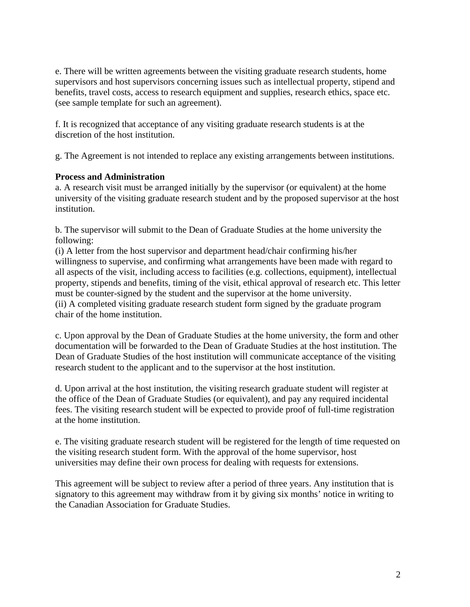e. There will be written agreements between the visiting graduate research students, home supervisors and host supervisors concerning issues such as intellectual property, stipend and benefits, travel costs, access to research equipment and supplies, research ethics, space etc. (see sample template for such an agreement).

f. It is recognized that acceptance of any visiting graduate research students is at the discretion of the host institution.

g. The Agreement is not intended to replace any existing arrangements between institutions.

## **Process and Administration**

a. A research visit must be arranged initially by the supervisor (or equivalent) at the home university of the visiting graduate research student and by the proposed supervisor at the host institution.

b. The supervisor will submit to the Dean of Graduate Studies at the home university the following:

(i) A letter from the host supervisor and department head/chair confirming his/her willingness to supervise, and confirming what arrangements have been made with regard to all aspects of the visit, including access to facilities (e.g. collections, equipment), intellectual property, stipends and benefits, timing of the visit, ethical approval of research etc. This letter must be counter-signed by the student and the supervisor at the home university. (ii) A completed visiting graduate research student form signed by the graduate program chair of the home institution.

c. Upon approval by the Dean of Graduate Studies at the home university, the form and other documentation will be forwarded to the Dean of Graduate Studies at the host institution. The Dean of Graduate Studies of the host institution will communicate acceptance of the visiting research student to the applicant and to the supervisor at the host institution.

d. Upon arrival at the host institution, the visiting research graduate student will register at the office of the Dean of Graduate Studies (or equivalent), and pay any required incidental fees. The visiting research student will be expected to provide proof of full-time registration at the home institution.

e. The visiting graduate research student will be registered for the length of time requested on the visiting research student form. With the approval of the home supervisor, host universities may define their own process for dealing with requests for extensions.

This agreement will be subject to review after a period of three years. Any institution that is signatory to this agreement may withdraw from it by giving six months' notice in writing to the Canadian Association for Graduate Studies.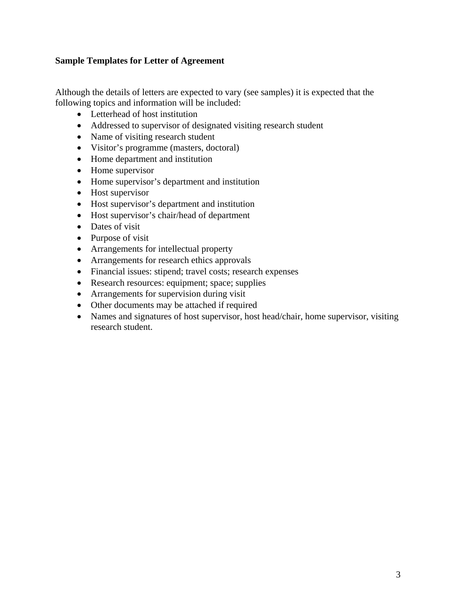## **Sample Templates for Letter of Agreement**

Although the details of letters are expected to vary (see samples) it is expected that the following topics and information will be included:

- Letterhead of host institution
- Addressed to supervisor of designated visiting research student
- Name of visiting research student
- Visitor's programme (masters, doctoral)
- Home department and institution
- Home supervisor
- Home supervisor's department and institution
- Host supervisor
- Host supervisor's department and institution
- Host supervisor's chair/head of department
- Dates of visit
- Purpose of visit
- Arrangements for intellectual property
- Arrangements for research ethics approvals
- Financial issues: stipend; travel costs; research expenses
- Research resources: equipment; space; supplies
- Arrangements for supervision during visit
- Other documents may be attached if required
- Names and signatures of host supervisor, host head/chair, home supervisor, visiting research student.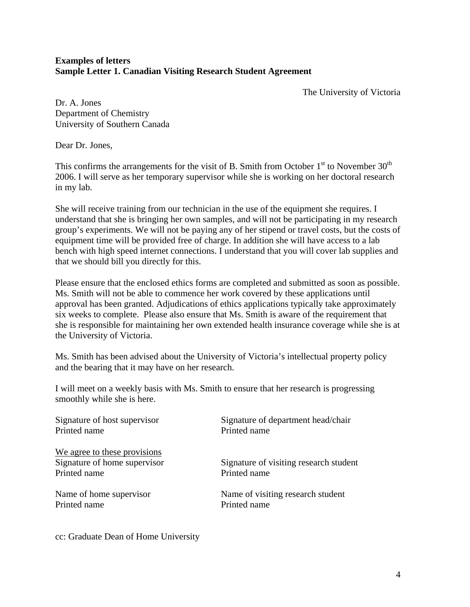## **Examples of letters Sample Letter 1. Canadian Visiting Research Student Agreement**

The University of Victoria

Dr. A. Jones Department of Chemistry University of Southern Canada

Dear Dr. Jones,

This confirms the arrangements for the visit of B. Smith from October  $1<sup>st</sup>$  to November  $30<sup>th</sup>$ 2006. I will serve as her temporary supervisor while she is working on her doctoral research in my lab.

She will receive training from our technician in the use of the equipment she requires. I understand that she is bringing her own samples, and will not be participating in my research group's experiments. We will not be paying any of her stipend or travel costs, but the costs of equipment time will be provided free of charge. In addition she will have access to a lab bench with high speed internet connections. I understand that you will cover lab supplies and that we should bill you directly for this.

Please ensure that the enclosed ethics forms are completed and submitted as soon as possible. Ms. Smith will not be able to commence her work covered by these applications until approval has been granted. Adjudications of ethics applications typically take approximately six weeks to complete. Please also ensure that Ms. Smith is aware of the requirement that she is responsible for maintaining her own extended health insurance coverage while she is at the University of Victoria.

Ms. Smith has been advised about the University of Victoria's intellectual property policy and the bearing that it may have on her research.

I will meet on a weekly basis with Ms. Smith to ensure that her research is progressing smoothly while she is here.

| Signature of host supervisor<br>Printed name | Signature of department head/chair<br>Printed name |
|----------------------------------------------|----------------------------------------------------|
| We agree to these provisions                 |                                                    |
| Signature of home supervisor                 | Signature of visiting research student             |
| Printed name                                 | Printed name                                       |
| Name of home supervisor                      | Name of visiting research student                  |
| Printed name                                 | Printed name                                       |
|                                              |                                                    |

cc: Graduate Dean of Home University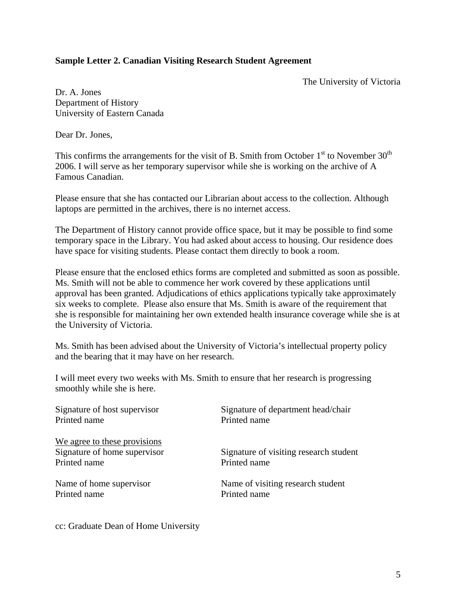#### **Sample Letter 2. Canadian Visiting Research Student Agreement**

The University of Victoria

Dr. A. Jones Department of History University of Eastern Canada

Dear Dr. Jones,

This confirms the arrangements for the visit of B. Smith from October  $1<sup>st</sup>$  to November 30<sup>th</sup> 2006. I will serve as her temporary supervisor while she is working on the archive of A Famous Canadian.

Please ensure that she has contacted our Librarian about access to the collection. Although laptops are permitted in the archives, there is no internet access.

The Department of History cannot provide office space, but it may be possible to find some temporary space in the Library. You had asked about access to housing. Our residence does have space for visiting students. Please contact them directly to book a room.

Please ensure that the enclosed ethics forms are completed and submitted as soon as possible. Ms. Smith will not be able to commence her work covered by these applications until approval has been granted. Adjudications of ethics applications typically take approximately six weeks to complete. Please also ensure that Ms. Smith is aware of the requirement that she is responsible for maintaining her own extended health insurance coverage while she is at the University of Victoria.

Ms. Smith has been advised about the University of Victoria's intellectual property policy and the bearing that it may have on her research.

I will meet every two weeks with Ms. Smith to ensure that her research is progressing smoothly while she is here.

| Signature of host supervisor<br>Printed name | Signature of department head/chair<br>Printed name |
|----------------------------------------------|----------------------------------------------------|
| We agree to these provisions                 |                                                    |
| Signature of home supervisor                 | Signature of visiting research student             |
| Printed name                                 | Printed name                                       |
| Name of home supervisor                      | Name of visiting research student                  |
| Printed name                                 | Printed name                                       |
|                                              |                                                    |

cc: Graduate Dean of Home University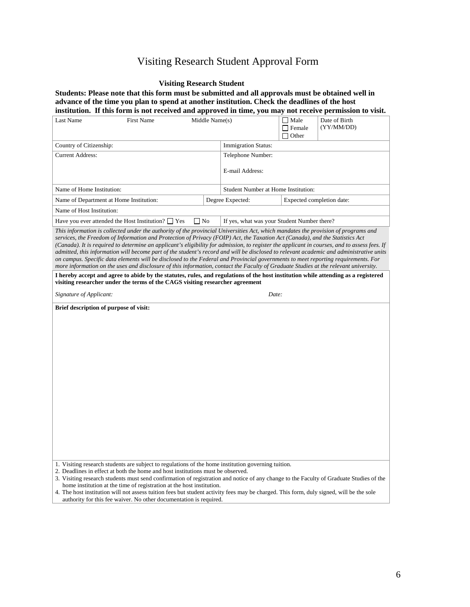# Visiting Research Student Approval Form

#### **Visiting Research Student**

**Students: Please note that this form must be submitted and all approvals must be obtained well in advance of the time you plan to spend at another institution. Check the deadlines of the host institution. If this form is not received and approved in time, you may not receive permission to visit.**

| Last Name                                                                                                                                                                                                                                                                                                                                                                                                                                                                                                                                                                                                                                                                                                                                                                                                                                                                                                                                                                                                                                                         | <b>First Name</b>                                                                                                                                                                                                                                                                                                                                                                                                                                                                | Middle Name(s)  |                                             | $\Box$ Male<br>$\Box$ Female<br>$\Box$ Other | Date of Birth<br>(YY/MM/DD)                                                                                                             |  |
|-------------------------------------------------------------------------------------------------------------------------------------------------------------------------------------------------------------------------------------------------------------------------------------------------------------------------------------------------------------------------------------------------------------------------------------------------------------------------------------------------------------------------------------------------------------------------------------------------------------------------------------------------------------------------------------------------------------------------------------------------------------------------------------------------------------------------------------------------------------------------------------------------------------------------------------------------------------------------------------------------------------------------------------------------------------------|----------------------------------------------------------------------------------------------------------------------------------------------------------------------------------------------------------------------------------------------------------------------------------------------------------------------------------------------------------------------------------------------------------------------------------------------------------------------------------|-----------------|---------------------------------------------|----------------------------------------------|-----------------------------------------------------------------------------------------------------------------------------------------|--|
| Country of Citizenship:                                                                                                                                                                                                                                                                                                                                                                                                                                                                                                                                                                                                                                                                                                                                                                                                                                                                                                                                                                                                                                           |                                                                                                                                                                                                                                                                                                                                                                                                                                                                                  |                 | <b>Immigration Status:</b>                  |                                              |                                                                                                                                         |  |
| <b>Current Address:</b>                                                                                                                                                                                                                                                                                                                                                                                                                                                                                                                                                                                                                                                                                                                                                                                                                                                                                                                                                                                                                                           |                                                                                                                                                                                                                                                                                                                                                                                                                                                                                  |                 | Telephone Number:                           |                                              |                                                                                                                                         |  |
|                                                                                                                                                                                                                                                                                                                                                                                                                                                                                                                                                                                                                                                                                                                                                                                                                                                                                                                                                                                                                                                                   |                                                                                                                                                                                                                                                                                                                                                                                                                                                                                  | E-mail Address: |                                             |                                              |                                                                                                                                         |  |
| Name of Home Institution:                                                                                                                                                                                                                                                                                                                                                                                                                                                                                                                                                                                                                                                                                                                                                                                                                                                                                                                                                                                                                                         |                                                                                                                                                                                                                                                                                                                                                                                                                                                                                  |                 | Student Number at Home Institution:         |                                              |                                                                                                                                         |  |
| Name of Department at Home Institution:                                                                                                                                                                                                                                                                                                                                                                                                                                                                                                                                                                                                                                                                                                                                                                                                                                                                                                                                                                                                                           |                                                                                                                                                                                                                                                                                                                                                                                                                                                                                  |                 | Degree Expected:                            | Expected completion date:                    |                                                                                                                                         |  |
| Name of Host Institution:                                                                                                                                                                                                                                                                                                                                                                                                                                                                                                                                                                                                                                                                                                                                                                                                                                                                                                                                                                                                                                         |                                                                                                                                                                                                                                                                                                                                                                                                                                                                                  |                 |                                             |                                              |                                                                                                                                         |  |
|                                                                                                                                                                                                                                                                                                                                                                                                                                                                                                                                                                                                                                                                                                                                                                                                                                                                                                                                                                                                                                                                   | Have you ever attended the Host Institution? $\Box$ Yes                                                                                                                                                                                                                                                                                                                                                                                                                          | $\Box$ No       | If yes, what was your Student Number there? |                                              |                                                                                                                                         |  |
| This information is collected under the authority of the provincial Universities Act, which mandates the provision of programs and<br>services, the Freedom of Information and Protection of Privacy (FOIP) Act, the Taxation Act (Canada), and the Statistics Act<br>(Canada). It is required to determine an applicant's eligibility for admission, to register the applicant in courses, and to assess fees. If<br>admitted, this information will become part of the student's record and will be disclosed to relevant academic and administrative units<br>on campus. Specific data elements will be disclosed to the Federal and Provincial governments to meet reporting requirements. For<br>more information on the uses and disclosure of this information, contact the Faculty of Graduate Studies at the relevant university.<br>I hereby accept and agree to abide by the statutes, rules, and regulations of the host institution while attending as a registered<br>visiting researcher under the terms of the CAGS visiting researcher agreement |                                                                                                                                                                                                                                                                                                                                                                                                                                                                                  |                 |                                             |                                              |                                                                                                                                         |  |
| Signature of Applicant:                                                                                                                                                                                                                                                                                                                                                                                                                                                                                                                                                                                                                                                                                                                                                                                                                                                                                                                                                                                                                                           |                                                                                                                                                                                                                                                                                                                                                                                                                                                                                  |                 | Date:                                       |                                              |                                                                                                                                         |  |
| Brief description of purpose of visit:                                                                                                                                                                                                                                                                                                                                                                                                                                                                                                                                                                                                                                                                                                                                                                                                                                                                                                                                                                                                                            |                                                                                                                                                                                                                                                                                                                                                                                                                                                                                  |                 |                                             |                                              |                                                                                                                                         |  |
|                                                                                                                                                                                                                                                                                                                                                                                                                                                                                                                                                                                                                                                                                                                                                                                                                                                                                                                                                                                                                                                                   | 1. Visiting research students are subject to regulations of the home institution governing tuition.<br>2. Deadlines in effect at both the home and host institutions must be observed.<br>home institution at the time of registration at the host institution.<br>4. The host institution will not assess tuition fees but student activity fees may be charged. This form, duly signed, will be the sole<br>authority for this fee waiver. No other documentation is required. |                 |                                             |                                              | 3. Visiting research students must send confirmation of registration and notice of any change to the Faculty of Graduate Studies of the |  |